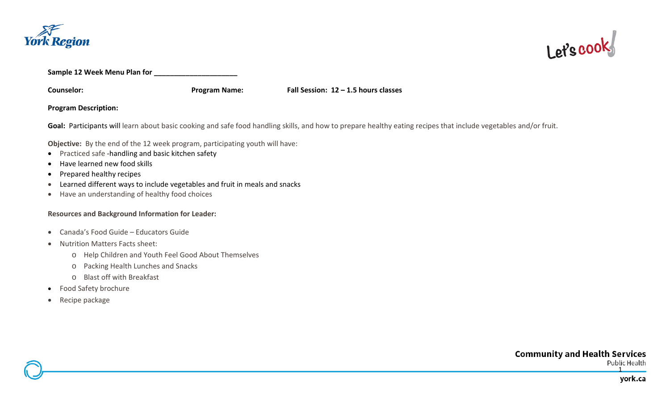



**Sample 12 Week Menu Plan for \_\_\_\_\_\_\_\_\_\_\_\_\_\_\_\_\_\_\_\_\_**

**Counselor: Program Name: Fall Session: 12 – 1.5 hours classes**

**Program Description:** 

Goal: Participants will learn about basic cooking and safe food handling skills, and how to prepare healthy eating recipes that include vegetables and/or fruit.

**Objective:** By the end of the 12 week program, participating youth will have:

- Practiced safe -handling and basic kitchen safety
- Have learned new food skills
- Prepared healthy recipes
- Learned different ways to include vegetables and fruit in meals and snacks
- Have an understanding of healthy food choices

## **Resources and Background Information for Leader:**

- Canada's Food Guide Educators Guide
- Nutrition Matters Facts sheet:
	- o Help Children and Youth Feel Good About Themselves
	- o Packing Health Lunches and Snacks
	- o Blast off with Breakfast
- Food Safety brochure
- Recipe package

**Community and Health Services** Public Health

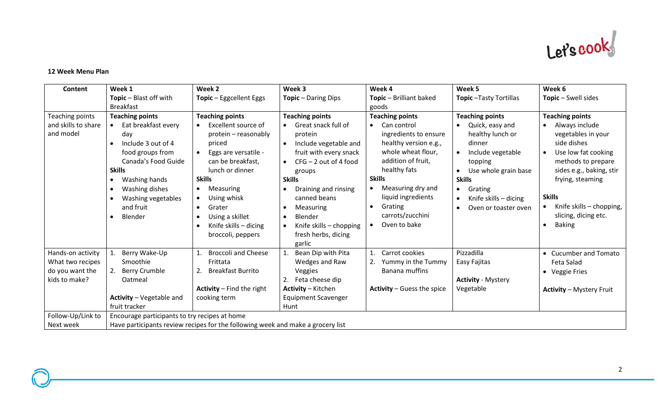

## **12 Week Menu Plan**

| <b>Content</b>                   | Week 1                                                                                                                                                                                                                  | Week <sub>2</sub>                                                                                                                                                                                                                                                                           | Week 3                                                                                                                                                                                                                                                                                        | Week 4                                                                                                                                                                                                                                                                                   | Week 5                                                                                                                                                                                          | Week 6                                                                                                                                                                                                                                                                                     |  |  |  |
|----------------------------------|-------------------------------------------------------------------------------------------------------------------------------------------------------------------------------------------------------------------------|---------------------------------------------------------------------------------------------------------------------------------------------------------------------------------------------------------------------------------------------------------------------------------------------|-----------------------------------------------------------------------------------------------------------------------------------------------------------------------------------------------------------------------------------------------------------------------------------------------|------------------------------------------------------------------------------------------------------------------------------------------------------------------------------------------------------------------------------------------------------------------------------------------|-------------------------------------------------------------------------------------------------------------------------------------------------------------------------------------------------|--------------------------------------------------------------------------------------------------------------------------------------------------------------------------------------------------------------------------------------------------------------------------------------------|--|--|--|
|                                  | Topic - Blast off with                                                                                                                                                                                                  | Topic - Eggcellent Eggs                                                                                                                                                                                                                                                                     | <b>Topic</b> - Daring Dips                                                                                                                                                                                                                                                                    | Topic - Brilliant baked                                                                                                                                                                                                                                                                  | Topic-Tasty Tortillas                                                                                                                                                                           | Topic - Swell sides                                                                                                                                                                                                                                                                        |  |  |  |
|                                  | <b>Breakfast</b>                                                                                                                                                                                                        |                                                                                                                                                                                                                                                                                             |                                                                                                                                                                                                                                                                                               | goods                                                                                                                                                                                                                                                                                    |                                                                                                                                                                                                 |                                                                                                                                                                                                                                                                                            |  |  |  |
| Teaching points                  | <b>Teaching points</b>                                                                                                                                                                                                  | <b>Teaching points</b>                                                                                                                                                                                                                                                                      | <b>Teaching points</b>                                                                                                                                                                                                                                                                        | <b>Teaching points</b>                                                                                                                                                                                                                                                                   | <b>Teaching points</b>                                                                                                                                                                          | <b>Teaching points</b>                                                                                                                                                                                                                                                                     |  |  |  |
| and skills to share<br>and model | Eat breakfast every<br>day<br>Include 3 out of 4<br>$\bullet$<br>food groups from<br>Canada's Food Guide<br><b>Skills</b><br>Washing hands<br>$\bullet$<br>Washing dishes<br>Washing vegetables<br>and fruit<br>Blender | Excellent source of<br>protein - reasonably<br>priced<br>Eggs are versatile -<br>can be breakfast,<br>lunch or dinner<br><b>Skills</b><br><b>Measuring</b><br>$\bullet$<br>Using whisk<br>Grater<br>$\bullet$<br>Using a skillet<br>$\bullet$<br>Knife skills - dicing<br>broccoli, peppers | Great snack full of<br>protein<br>Include vegetable and<br>$\bullet$<br>fruit with every snack<br>$CFG - 2$ out of 4 food<br>groups<br><b>Skills</b><br>Draining and rinsing<br>canned beans<br>Measuring<br>Blender<br>$\bullet$<br>Knife skills - chopping<br>fresh herbs, dicing<br>garlic | Can control<br>$\bullet$<br>ingredients to ensure<br>healthy version e.g.,<br>whole wheat flour,<br>addition of fruit,<br>healthy fats<br><b>Skills</b><br>Measuring dry and<br>$\bullet$<br>liquid ingredients<br>Grating<br>$\bullet$<br>carrots/zucchini<br>Oven to bake<br>$\bullet$ | Quick, easy and<br>healthy lunch or<br>dinner<br>Include vegetable<br>topping<br>Use whole grain base<br><b>Skills</b><br>Grating<br>$\bullet$<br>Knife skills - dicing<br>Oven or toaster oven | Always include<br>$\bullet$<br>vegetables in your<br>side dishes<br>Use low fat cooking<br>$\bullet$<br>methods to prepare<br>sides e.g., baking, stir<br>frying, steaming<br><b>Skills</b><br>Knife skills - chopping,<br>$\bullet$<br>slicing, dicing etc.<br><b>Baking</b><br>$\bullet$ |  |  |  |
| Hands-on activity                | Berry Wake-Up<br>1.                                                                                                                                                                                                     | <b>Broccoli and Cheese</b>                                                                                                                                                                                                                                                                  | Bean Dip with Pita<br>1.                                                                                                                                                                                                                                                                      | Carrot cookies                                                                                                                                                                                                                                                                           | Pizzadilla                                                                                                                                                                                      | • Cucumber and Tomato                                                                                                                                                                                                                                                                      |  |  |  |
| What two recipes                 | Smoothie                                                                                                                                                                                                                | Frittata                                                                                                                                                                                                                                                                                    | Wedges and Raw                                                                                                                                                                                                                                                                                | Yummy in the Tummy                                                                                                                                                                                                                                                                       | Easy Fajitas                                                                                                                                                                                    | Feta Salad                                                                                                                                                                                                                                                                                 |  |  |  |
| do you want the                  | 2. Berry Crumble                                                                                                                                                                                                        | <b>Breakfast Burrito</b><br>2.                                                                                                                                                                                                                                                              | Veggies                                                                                                                                                                                                                                                                                       | Banana muffins                                                                                                                                                                                                                                                                           |                                                                                                                                                                                                 | • Veggie Fries                                                                                                                                                                                                                                                                             |  |  |  |
| kids to make?                    | Oatmeal                                                                                                                                                                                                                 |                                                                                                                                                                                                                                                                                             | Feta cheese dip<br>2.                                                                                                                                                                                                                                                                         |                                                                                                                                                                                                                                                                                          | <b>Activity - Mystery</b>                                                                                                                                                                       |                                                                                                                                                                                                                                                                                            |  |  |  |
|                                  |                                                                                                                                                                                                                         | Activity $-$ Find the right                                                                                                                                                                                                                                                                 | <b>Activity - Kitchen</b>                                                                                                                                                                                                                                                                     | Activity - Guess the spice                                                                                                                                                                                                                                                               | Vegetable                                                                                                                                                                                       | <b>Activity - Mystery Fruit</b>                                                                                                                                                                                                                                                            |  |  |  |
|                                  | Activity - Vegetable and                                                                                                                                                                                                | cooking term                                                                                                                                                                                                                                                                                | <b>Equipment Scavenger</b>                                                                                                                                                                                                                                                                    |                                                                                                                                                                                                                                                                                          |                                                                                                                                                                                                 |                                                                                                                                                                                                                                                                                            |  |  |  |
|                                  | fruit tracker                                                                                                                                                                                                           |                                                                                                                                                                                                                                                                                             | Hunt                                                                                                                                                                                                                                                                                          |                                                                                                                                                                                                                                                                                          |                                                                                                                                                                                                 |                                                                                                                                                                                                                                                                                            |  |  |  |
| Follow-Up/Link to                | Encourage participants to try recipes at home                                                                                                                                                                           |                                                                                                                                                                                                                                                                                             |                                                                                                                                                                                                                                                                                               |                                                                                                                                                                                                                                                                                          |                                                                                                                                                                                                 |                                                                                                                                                                                                                                                                                            |  |  |  |
| Next week                        | Have participants review recipes for the following week and make a grocery list                                                                                                                                         |                                                                                                                                                                                                                                                                                             |                                                                                                                                                                                                                                                                                               |                                                                                                                                                                                                                                                                                          |                                                                                                                                                                                                 |                                                                                                                                                                                                                                                                                            |  |  |  |